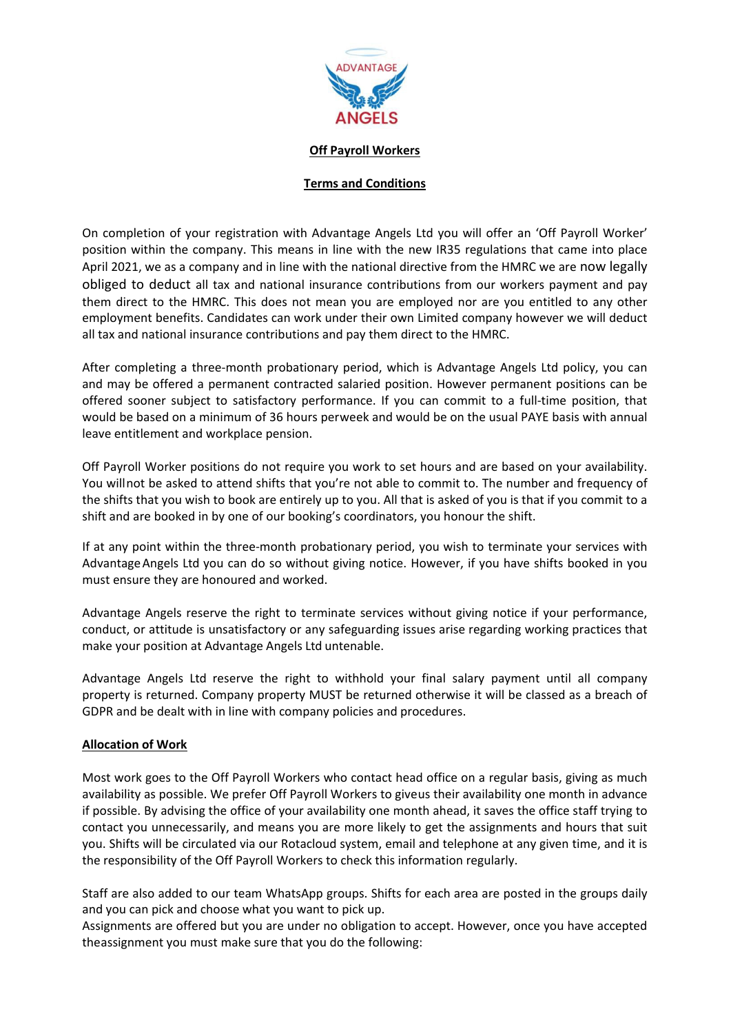

#### **Off Payroll Workers**

### **Terms and Conditions**

On completion of your registration with Advantage Angels Ltd you will offer an 'Off Payroll Worker' position within the company. This means in line with the new IR35 regulations that came into place April 2021, we as a company and in line with the national directive from the HMRC we are now legally obliged to deduct all tax and national insurance contributions from our workers payment and pay them direct to the HMRC. This does not mean you are employed nor are you entitled to any other employment benefits. Candidates can work under their own Limited company however we will deduct all tax and national insurance contributions and pay them direct to the HMRC.

After completing a three-month probationary period, which is Advantage Angels Ltd policy, you can and may be offered a permanent contracted salaried position. However permanent positions can be offered sooner subject to satisfactory performance. If you can commit to a full-time position, that would be based on a minimum of 36 hours perweek and would be on the usual PAYE basis with annual leave entitlement and workplace pension.

Off Payroll Worker positions do not require you work to set hours and are based on your availability. You willnot be asked to attend shifts that you're not able to commit to. The number and frequency of the shifts that you wish to book are entirely up to you. All that is asked of you is that if you commit to a shift and are booked in by one of our booking's coordinators, you honour the shift.

If at any point within the three-month probationary period, you wish to terminate your services with AdvantageAngels Ltd you can do so without giving notice. However, if you have shifts booked in you must ensure they are honoured and worked.

Advantage Angels reserve the right to terminate services without giving notice if your performance, conduct, or attitude is unsatisfactory or any safeguarding issues arise regarding working practices that make your position at Advantage Angels Ltd untenable.

Advantage Angels Ltd reserve the right to withhold your final salary payment until all company property is returned. Company property MUST be returned otherwise it will be classed as a breach of GDPR and be dealt with in line with company policies and procedures.

### **Allocation of Work**

Most work goes to the Off Payroll Workers who contact head office on a regular basis, giving as much availability as possible. We prefer Off Payroll Workers to giveus their availability one month in advance if possible. By advising the office of your availability one month ahead, it saves the office staff trying to contact you unnecessarily, and means you are more likely to get the assignments and hours that suit you. Shifts will be circulated via our Rotacloud system, email and telephone at any given time, and it is the responsibility of the Off Payroll Workers to check this information regularly.

Staff are also added to our team WhatsApp groups. Shifts for each area are posted in the groups daily and you can pick and choose what you want to pick up.

Assignments are offered but you are under no obligation to accept. However, once you have accepted theassignment you must make sure that you do the following: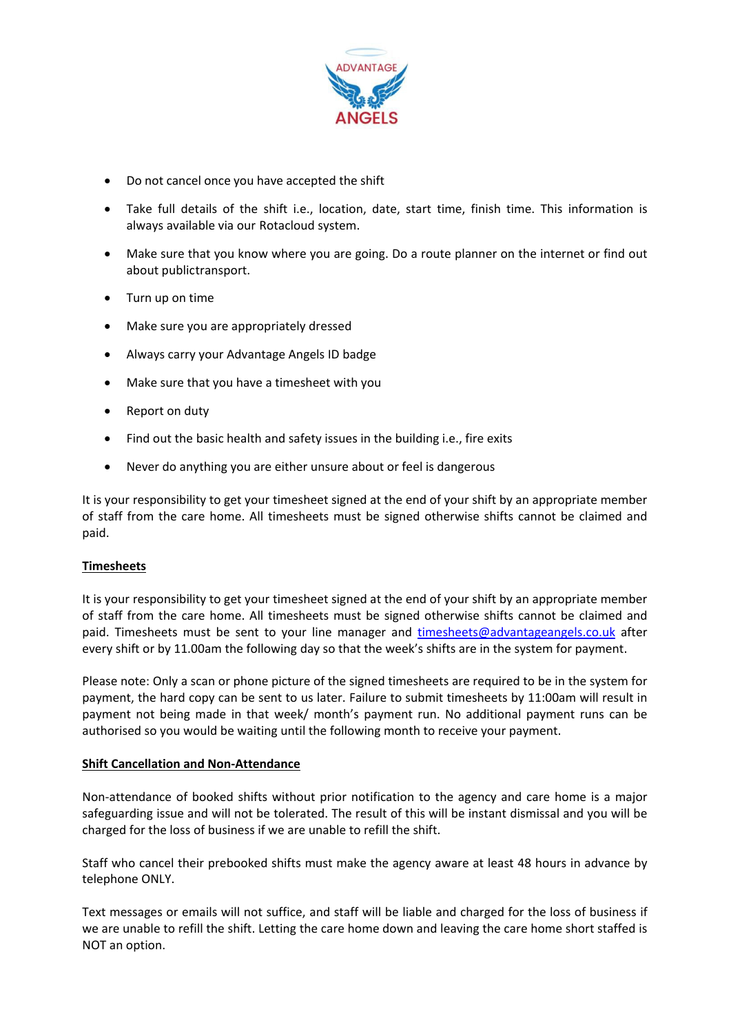

- Do not cancel once you have accepted the shift
- Take full details of the shift i.e., location, date, start time, finish time. This information is always available via our Rotacloud system.
- Make sure that you know where you are going. Do a route planner on the internet or find out about publictransport.
- Turn up on time
- Make sure you are appropriately dressed
- Always carry your Advantage Angels ID badge
- Make sure that you have a timesheet with you
- Report on duty
- Find out the basic health and safety issues in the building i.e., fire exits
- Never do anything you are either unsure about or feel is dangerous

It is your responsibility to get your timesheet signed at the end of your shift by an appropriate member of staff from the care home. All timesheets must be signed otherwise shifts cannot be claimed and paid.

### **Timesheets**

It is your responsibility to get your timesheet signed at the end of your shift by an appropriate member of staff from the care home. All timesheets must be signed otherwise shifts cannot be claimed and paid. Timesheets must be sent to your line manager and [timesheets@advantageangels.co.uk](mailto:timesheets@advantageangels.co.uk) after every shift or by 11.00am the following day so that the week's shifts are in the system for payment.

Please note: Only a scan or phone picture of the signed timesheets are required to be in the system for payment, the hard copy can be sent to us later. Failure to submit timesheets by 11:00am will result in payment not being made in that week/ month's payment run. No additional payment runs can be authorised so you would be waiting until the following month to receive your payment.

### **Shift Cancellation and Non-Attendance**

Non-attendance of booked shifts without prior notification to the agency and care home is a major safeguarding issue and will not be tolerated. The result of this will be instant dismissal and you will be charged for the loss of business if we are unable to refill the shift.

Staff who cancel their prebooked shifts must make the agency aware at least 48 hours in advance by telephone ONLY.

Text messages or emails will not suffice, and staff will be liable and charged for the loss of business if we are unable to refill the shift. Letting the care home down and leaving the care home short staffed is NOT an option.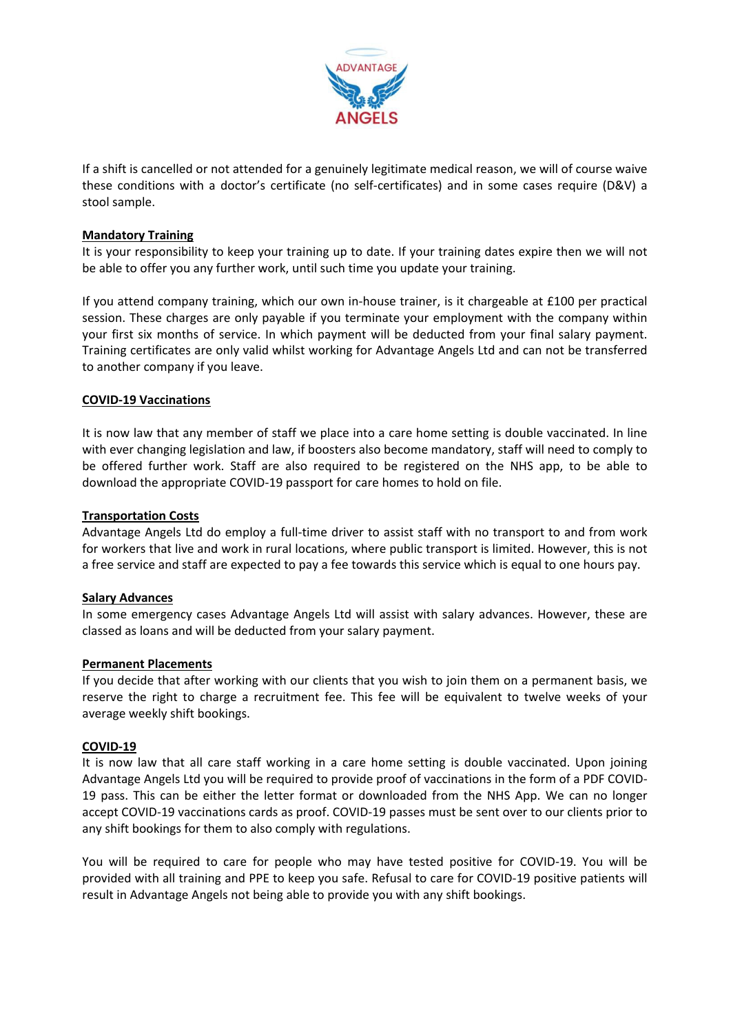

If a shift is cancelled or not attended for a genuinely legitimate medical reason, we will of course waive these conditions with a doctor's certificate (no self-certificates) and in some cases require (D&V) a stool sample.

# **Mandatory Training**

It is your responsibility to keep your training up to date. If your training dates expire then we will not be able to offer you any further work, until such time you update your training.

If you attend company training, which our own in-house trainer, is it chargeable at £100 per practical session. These charges are only payable if you terminate your employment with the company within your first six months of service. In which payment will be deducted from your final salary payment. Training certificates are only valid whilst working for Advantage Angels Ltd and can not be transferred to another company if you leave.

### **COVID-19 Vaccinations**

It is now law that any member of staff we place into a care home setting is double vaccinated. In line with ever changing legislation and law, if boosters also become mandatory, staff will need to comply to be offered further work. Staff are also required to be registered on the NHS app, to be able to download the appropriate COVID-19 passport for care homes to hold on file.

# **Transportation Costs**

Advantage Angels Ltd do employ a full-time driver to assist staff with no transport to and from work for workers that live and work in rural locations, where public transport is limited. However, this is not a free service and staff are expected to pay a fee towards this service which is equal to one hours pay.

### **Salary Advances**

In some emergency cases Advantage Angels Ltd will assist with salary advances. However, these are classed as loans and will be deducted from your salary payment.

### **Permanent Placements**

If you decide that after working with our clients that you wish to join them on a permanent basis, we reserve the right to charge a recruitment fee. This fee will be equivalent to twelve weeks of your average weekly shift bookings.

### **COVID-19**

It is now law that all care staff working in a care home setting is double vaccinated. Upon joining Advantage Angels Ltd you will be required to provide proof of vaccinations in the form of a PDF COVID-19 pass. This can be either the letter format or downloaded from the NHS App. We can no longer accept COVID-19 vaccinations cards as proof. COVID-19 passes must be sent over to our clients prior to any shift bookings for them to also comply with regulations.

You will be required to care for people who may have tested positive for COVID-19. You will be provided with all training and PPE to keep you safe. Refusal to care for COVID-19 positive patients will result in Advantage Angels not being able to provide you with any shift bookings.